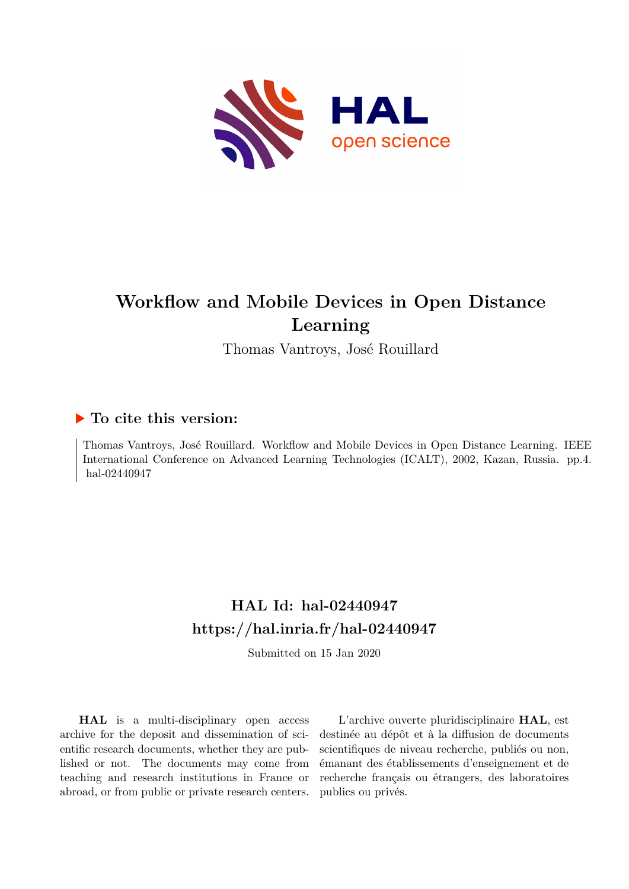

# **Workflow and Mobile Devices in Open Distance Learning**

Thomas Vantroys, José Rouillard

# **To cite this version:**

Thomas Vantroys, José Rouillard. Workflow and Mobile Devices in Open Distance Learning. IEEE International Conference on Advanced Learning Technologies (ICALT), 2002, Kazan, Russia. pp.4. hal-02440947

# **HAL Id: hal-02440947 <https://hal.inria.fr/hal-02440947>**

Submitted on 15 Jan 2020

**HAL** is a multi-disciplinary open access archive for the deposit and dissemination of scientific research documents, whether they are published or not. The documents may come from teaching and research institutions in France or abroad, or from public or private research centers.

L'archive ouverte pluridisciplinaire **HAL**, est destinée au dépôt et à la diffusion de documents scientifiques de niveau recherche, publiés ou non, émanant des établissements d'enseignement et de recherche français ou étrangers, des laboratoires publics ou privés.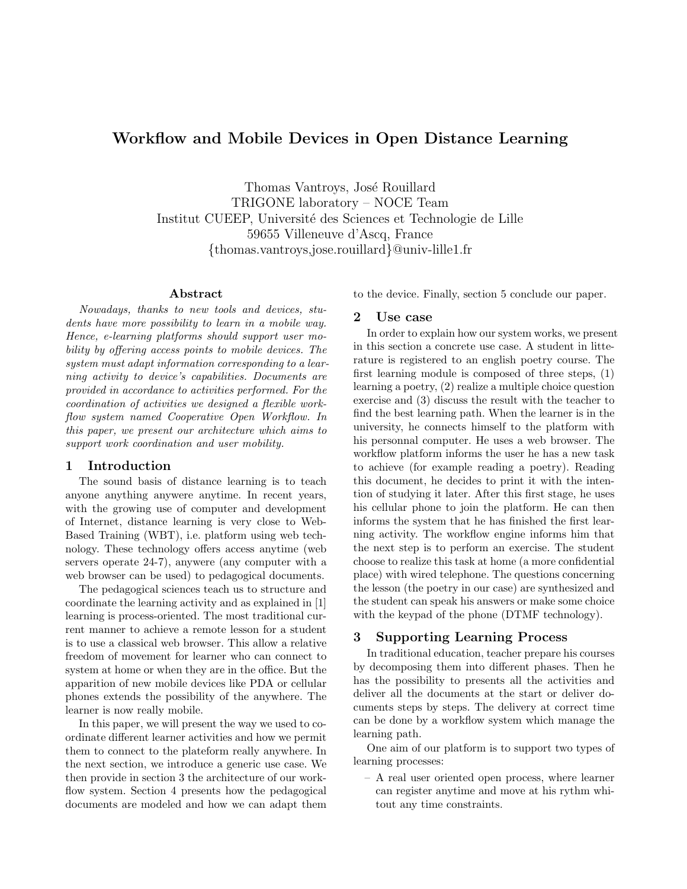# Workflow and Mobile Devices in Open Distance Learning

Thomas Vantroys, José Rouillard TRIGONE laboratory – NOCE Team Institut CUEEP, Université des Sciences et Technologie de Lille 59655 Villeneuve d'Ascq, France {thomas.vantroys,jose.rouillard}@univ-lille1.fr

#### Abstract

Nowadays, thanks to new tools and devices, students have more possibility to learn in a mobile way. Hence, e-learning platforms should support user mobility by offering access points to mobile devices. The system must adapt information corresponding to a learning activity to device's capabilities. Documents are provided in accordance to activities performed. For the coordination of activities we designed a flexible workflow system named Cooperative Open Workflow. In this paper, we present our architecture which aims to support work coordination and user mobility.

### 1 Introduction

The sound basis of distance learning is to teach anyone anything anywere anytime. In recent years, with the growing use of computer and development of Internet, distance learning is very close to Web-Based Training (WBT), i.e. platform using web technology. These technology offers access anytime (web servers operate 24-7), anywere (any computer with a web browser can be used) to pedagogical documents.

The pedagogical sciences teach us to structure and coordinate the learning activity and as explained in [1] learning is process-oriented. The most traditional current manner to achieve a remote lesson for a student is to use a classical web browser. This allow a relative freedom of movement for learner who can connect to system at home or when they are in the office. But the apparition of new mobile devices like PDA or cellular phones extends the possibility of the anywhere. The learner is now really mobile.

In this paper, we will present the way we used to coordinate different learner activities and how we permit them to connect to the plateform really anywhere. In the next section, we introduce a generic use case. We then provide in section 3 the architecture of our workflow system. Section 4 presents how the pedagogical documents are modeled and how we can adapt them to the device. Finally, section 5 conclude our paper.

#### 2 Use case

In order to explain how our system works, we present in this section a concrete use case. A student in litterature is registered to an english poetry course. The first learning module is composed of three steps, (1) learning a poetry, (2) realize a multiple choice question exercise and (3) discuss the result with the teacher to find the best learning path. When the learner is in the university, he connects himself to the platform with his personnal computer. He uses a web browser. The workflow platform informs the user he has a new task to achieve (for example reading a poetry). Reading this document, he decides to print it with the intention of studying it later. After this first stage, he uses his cellular phone to join the platform. He can then informs the system that he has finished the first learning activity. The workflow engine informs him that the next step is to perform an exercise. The student choose to realize this task at home (a more confidential place) with wired telephone. The questions concerning the lesson (the poetry in our case) are synthesized and the student can speak his answers or make some choice with the keypad of the phone (DTMF technology).

### 3 Supporting Learning Process

In traditional education, teacher prepare his courses by decomposing them into different phases. Then he has the possibility to presents all the activities and deliver all the documents at the start or deliver documents steps by steps. The delivery at correct time can be done by a workflow system which manage the learning path.

One aim of our platform is to support two types of learning processes:

– A real user oriented open process, where learner can register anytime and move at his rythm whitout any time constraints.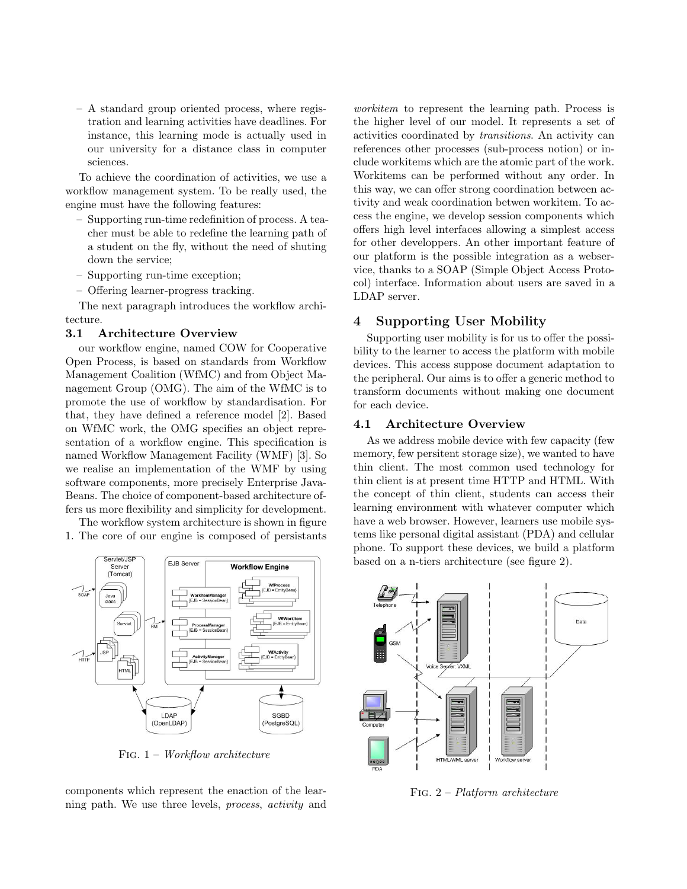– A standard group oriented process, where registration and learning activities have deadlines. For instance, this learning mode is actually used in our university for a distance class in computer sciences.

To achieve the coordination of activities, we use a workflow management system. To be really used, the engine must have the following features:

- Supporting run-time redefinition of process. A teacher must be able to redefine the learning path of a student on the fly, without the need of shuting down the service;
- Supporting run-time exception;
- Offering learner-progress tracking.

The next paragraph introduces the workflow architecture.

#### 3.1 Architecture Overview

our workflow engine, named COW for Cooperative Open Process, is based on standards from Workflow Management Coalition (WfMC) and from Object Management Group (OMG). The aim of the WfMC is to promote the use of workflow by standardisation. For that, they have defined a reference model [2]. Based on WfMC work, the OMG specifies an object representation of a workflow engine. This specification is named Workflow Management Facility (WMF) [3]. So we realise an implementation of the WMF by using software components, more precisely Enterprise Java-Beans. The choice of component-based architecture offers us more flexibility and simplicity for development.

The workflow system architecture is shown in figure 1. The core of our engine is composed of persistants



FIG.  $1 - Workflow$  architecture

components which represent the enaction of the learning path. We use three levels, process, activity and

workitem to represent the learning path. Process is the higher level of our model. It represents a set of activities coordinated by transitions. An activity can references other processes (sub-process notion) or include workitems which are the atomic part of the work. Workitems can be performed without any order. In this way, we can offer strong coordination between activity and weak coordination betwen workitem. To access the engine, we develop session components which offers high level interfaces allowing a simplest access for other developpers. An other important feature of our platform is the possible integration as a webservice, thanks to a SOAP (Simple Object Access Protocol) interface. Information about users are saved in a LDAP server.

## 4 Supporting User Mobility

Supporting user mobility is for us to offer the possibility to the learner to access the platform with mobile devices. This access suppose document adaptation to the peripheral. Our aims is to offer a generic method to transform documents without making one document for each device.

#### 4.1 Architecture Overview

As we address mobile device with few capacity (few memory, few persitent storage size), we wanted to have thin client. The most common used technology for thin client is at present time HTTP and HTML. With the concept of thin client, students can access their learning environment with whatever computer which have a web browser. However, learners use mobile systems like personal digital assistant (PDA) and cellular phone. To support these devices, we build a platform based on a n-tiers architecture (see figure 2).



Fig. 2 – Platform architecture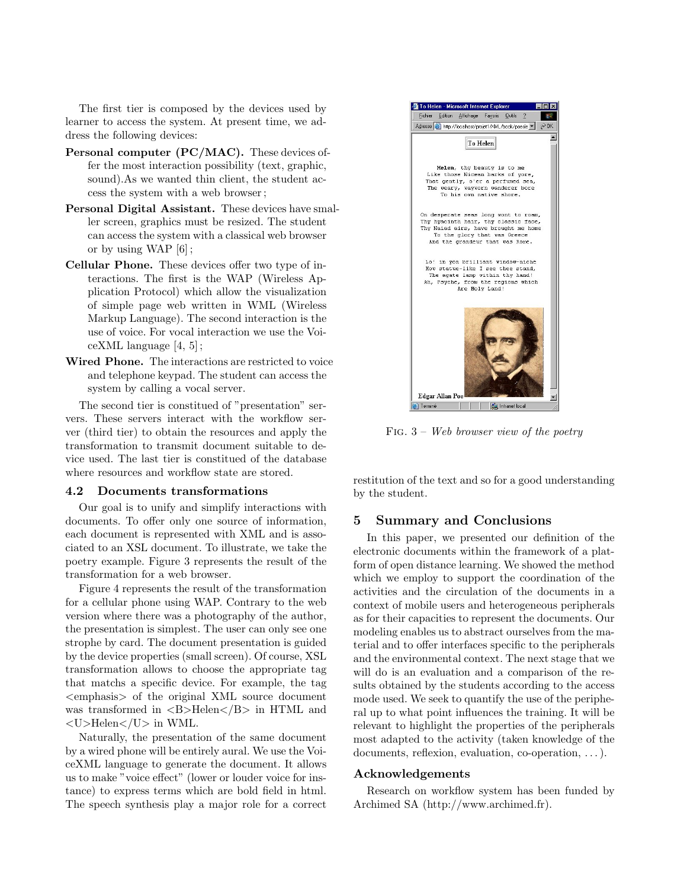The first tier is composed by the devices used by learner to access the system. At present time, we address the following devices:

- Personal computer (PC/MAC). These devices offer the most interaction possibility (text, graphic, sound).As we wanted thin client, the student access the system with a web browser ;
- Personal Digital Assistant. These devices have smaller screen, graphics must be resized. The student can access the system with a classical web browser or by using WAP [6] ;
- Cellular Phone. These devices offer two type of interactions. The first is the WAP (Wireless Application Protocol) which allow the visualization of simple page web written in WML (Wireless Markup Language). The second interaction is the use of voice. For vocal interaction we use the VoiceXML language [4, 5] ;
- Wired Phone. The interactions are restricted to voice and telephone keypad. The student can access the system by calling a vocal server.

The second tier is constitued of "presentation" servers. These servers interact with the workflow server (third tier) to obtain the resources and apply the transformation to transmit document suitable to device used. The last tier is constitued of the database where resources and workflow state are stored.

#### 4.2 Documents transformations

Our goal is to unify and simplify interactions with documents. To offer only one source of information, each document is represented with XML and is associated to an XSL document. To illustrate, we take the poetry example. Figure 3 represents the result of the transformation for a web browser.

Figure 4 represents the result of the transformation for a cellular phone using WAP. Contrary to the web version where there was a photography of the author, the presentation is simplest. The user can only see one strophe by card. The document presentation is guided by the device properties (small screen). Of course, XSL transformation allows to choose the appropriate tag that matchs a specific device. For example, the tag <emphasis> of the original XML source document was transformed in  $\langle B \rangle$ Helen $\langle/B \rangle$  in HTML and <U>Helen</U> in WML.

Naturally, the presentation of the same document by a wired phone will be entirely aural. We use the VoiceXML language to generate the document. It allows us to make "voice effect" (lower or louder voice for instance) to express terms which are bold field in html. The speech synthesis play a major role for a correct



FIG.  $3 - Web browser view of the poetry$ 

restitution of the text and so for a good understanding by the student.

#### 5 Summary and Conclusions

In this paper, we presented our definition of the electronic documents within the framework of a platform of open distance learning. We showed the method which we employ to support the coordination of the activities and the circulation of the documents in a context of mobile users and heterogeneous peripherals as for their capacities to represent the documents. Our modeling enables us to abstract ourselves from the material and to offer interfaces specific to the peripherals and the environmental context. The next stage that we will do is an evaluation and a comparison of the results obtained by the students according to the access mode used. We seek to quantify the use of the peripheral up to what point influences the training. It will be relevant to highlight the properties of the peripherals most adapted to the activity (taken knowledge of the documents, reflexion, evaluation, co-operation, ...).

#### Acknowledgements

Research on workflow system has been funded by Archimed SA (http://www.archimed.fr).